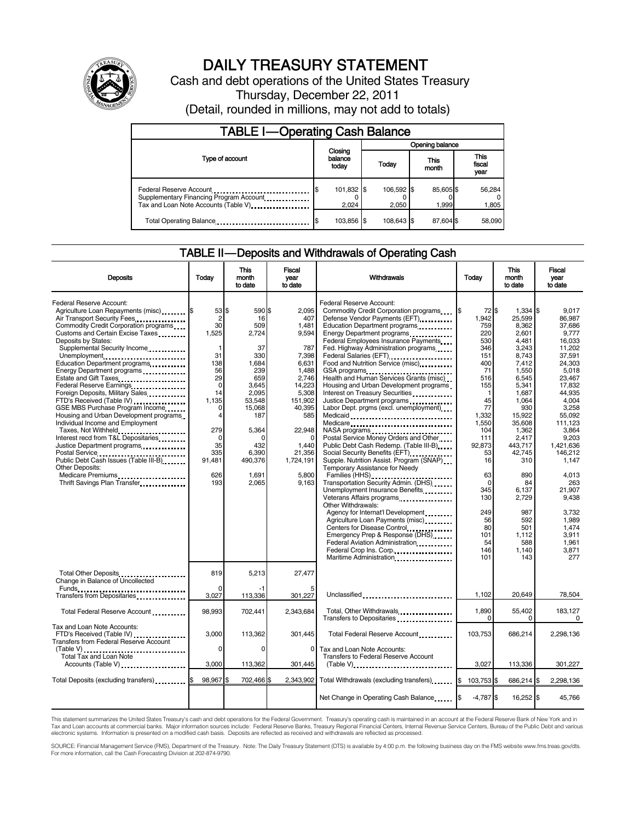

## DAILY TREASURY STATEMENT

Cash and debt operations of the United States Treasury Thursday, December 22, 2011 (Detail, rounded in millions, may not add to totals)

| <b>TABLE I-Operating Cash Balance</b>                                                                       |                             |                     |                 |                     |  |                    |  |                               |
|-------------------------------------------------------------------------------------------------------------|-----------------------------|---------------------|-----------------|---------------------|--|--------------------|--|-------------------------------|
|                                                                                                             | Closing<br>balance<br>today |                     | Opening balance |                     |  |                    |  |                               |
| Type of account                                                                                             |                             |                     |                 | Today               |  | This<br>month      |  | <b>This</b><br>fiscal<br>year |
| Federal Reserve Account<br>Supplementary Financing Program Account<br>Tax and Loan Note Accounts (Table V). |                             | 101,832 \$<br>2.024 |                 | 106,592 \$<br>2.050 |  | 85,605 \$<br>1.999 |  | 56,284<br>1,805               |
| Total Operating Balance                                                                                     |                             | 103,856 \$          |                 | 108.643 \$          |  | 87.604 \$          |  | 58,090                        |

### TABLE II — Deposits and Withdrawals of Operating Cash

| <b>Deposits</b>                                                                                                                                                                                                                                                                                                                                                                                                                                                                                                                                                                                                                                                                                                                                                                                                                                | Todav                                                                                                                                                                | <b>This</b><br>month<br>to date                                                                                                                                          | Fiscal<br>vear<br>to date                                                                                                                                                                        | Withdrawals                                                                                                                                                                                                                                                                                                                                                                                                                                                                                                                                                                                                                                                                                                                                                                                                                                                                                                                                                                                                                                                                                               | Today                                                                                                                                                                                                                                    | <b>This</b><br>month<br>to date                                                                                                                                                                                                                                                       | <b>Fiscal</b><br>year<br>to date                                                                                                                                                                                                                                                                            |
|------------------------------------------------------------------------------------------------------------------------------------------------------------------------------------------------------------------------------------------------------------------------------------------------------------------------------------------------------------------------------------------------------------------------------------------------------------------------------------------------------------------------------------------------------------------------------------------------------------------------------------------------------------------------------------------------------------------------------------------------------------------------------------------------------------------------------------------------|----------------------------------------------------------------------------------------------------------------------------------------------------------------------|--------------------------------------------------------------------------------------------------------------------------------------------------------------------------|--------------------------------------------------------------------------------------------------------------------------------------------------------------------------------------------------|-----------------------------------------------------------------------------------------------------------------------------------------------------------------------------------------------------------------------------------------------------------------------------------------------------------------------------------------------------------------------------------------------------------------------------------------------------------------------------------------------------------------------------------------------------------------------------------------------------------------------------------------------------------------------------------------------------------------------------------------------------------------------------------------------------------------------------------------------------------------------------------------------------------------------------------------------------------------------------------------------------------------------------------------------------------------------------------------------------------|------------------------------------------------------------------------------------------------------------------------------------------------------------------------------------------------------------------------------------------|---------------------------------------------------------------------------------------------------------------------------------------------------------------------------------------------------------------------------------------------------------------------------------------|-------------------------------------------------------------------------------------------------------------------------------------------------------------------------------------------------------------------------------------------------------------------------------------------------------------|
| Federal Reserve Account:<br>Agriculture Loan Repayments (misc) \$<br>Air Transport Security Fees<br>Commodity Credit Corporation programs<br>Customs and Certain Excise Taxes<br>Deposits by States:<br>Supplemental Security Income<br>Unemployment<br>Education Department programs<br>Energy Department programs<br>Estate and Gift Taxes<br><br>Federal Reserve Earnings<br>Foreign Deposits, Military Sales<br>FTD's Received (Table IV)<br>GSE MBS Purchase Program Income<br>Housing and Urban Development programs<br>Individual Income and Employment<br>Taxes, Not Withheld<br>Interest recd from T&L Depositaries<br>Justice Department programs<br>Postal Service<br>Public Debt Cash Issues (Table III-B)<br>The Line of Cash Issues (Table III-B)<br><b>Other Deposits:</b><br>Medicare Premiums<br>Thrift Savings Plan Transfer | 53 \$<br>$\overline{2}$<br>30<br>1,525<br>1<br>31<br>138<br>56<br>29<br>$\mathbf 0$<br>14<br>1.135<br>$\Omega$<br>4<br>279<br>0<br>35<br>335<br>91,481<br>626<br>193 | 590 \$<br>16<br>509<br>2,724<br>37<br>330<br>1.684<br>239<br>659<br>3,645<br>2.095<br>53.548<br>15,068<br>187<br>5,364<br>0<br>432<br>6.390<br>490.376<br>1,691<br>2,065 | 2.095<br>407<br>1,481<br>9,594<br>787<br>7.398<br>6.631<br>1.488<br>2.746<br>14,223<br>5,308<br>151.902<br>40,395<br>585<br>22,948<br>$\Omega$<br>1.440<br>21,356<br>1.724.191<br>5,800<br>9,163 | Federal Reserve Account:<br>Commodity Credit Corporation programs<br>Defense Vendor Payments (EFT)<br>Education Department programs<br>Energy Department programs<br><br>Federal Employees Insurance Payments<br>Fed. Highway Administration programs<br>Federal Salaries (EFT)<br>Food and Nutrition Service (misc)<br>GSA programs<br><br>Health and Human Services Grants (misc)<br>Housing and Urban Development programs<br>Interest on Treasury Securities<br>Justice Department programs<br>Labor Dept. prgms (excl. unemployment)<br>Medicaid<br>Medicare<br>NASA programs<br>Postal Service Money Orders and Other<br>Public Debt Cash Redemp. (Table III-B)<br>Supple. Nutrition Assist. Program (SNAP)<br>Temporary Assistance for Needy<br>Families (HHS)<br>Transportation Security Admin. (DHS)<br>Unemployment Insurance Benefits<br>Other Withdrawals:<br>Agency for Internat'l Development<br>Agriculture Loan Payments (misc)<br>Centers for Disease Control<br>Emergency Prep & Response (DHS)<br>Federal Aviation Administration<br>Federal Crop Ins. Corp<br>Maritime Administration | 72 \$<br>I\$<br>1.942<br>759<br>220<br>530<br>346<br>151<br>400<br>71<br>516<br>155<br>1<br>45<br>77<br>1.332<br>1,550<br>104<br>111<br>92,873<br>53<br>16<br>63<br>$\Omega$<br>345<br>130<br>249<br>56<br>80<br>101<br>54<br>146<br>101 | $1.334$ \\$<br>25.599<br>8,362<br>2,601<br>4.481<br>3,243<br>8.743<br>7.412<br>1.550<br>6,545<br>5,341<br>1,687<br>1.064<br>930<br>15.922<br>35,608<br>1,362<br>2,417<br>443.717<br>42.745<br>310<br>890<br>84<br>6,137<br>2,729<br>987<br>592<br>501<br>1,112<br>588<br>1,140<br>143 | 9.017<br>86.987<br>37,686<br>9,777<br>16.033<br>11.202<br>37.591<br>24.303<br>5.018<br>23.467<br>17.832<br>44.935<br>4.004<br>3,258<br>55.092<br>111,123<br>3,864<br>9,203<br>1.421.636<br>146.212<br>1.147<br>4,013<br>263<br>21,907<br>9,438<br>3.732<br>1.989<br>1,474<br>3.911<br>1.961<br>3,871<br>277 |
| Total Other Deposits<br>Change in Balance of Uncollected                                                                                                                                                                                                                                                                                                                                                                                                                                                                                                                                                                                                                                                                                                                                                                                       | 819                                                                                                                                                                  | 5,213                                                                                                                                                                    | 27,477                                                                                                                                                                                           |                                                                                                                                                                                                                                                                                                                                                                                                                                                                                                                                                                                                                                                                                                                                                                                                                                                                                                                                                                                                                                                                                                           |                                                                                                                                                                                                                                          |                                                                                                                                                                                                                                                                                       |                                                                                                                                                                                                                                                                                                             |
| Transfers from Depositaries                                                                                                                                                                                                                                                                                                                                                                                                                                                                                                                                                                                                                                                                                                                                                                                                                    | $\Omega$<br>3,027                                                                                                                                                    | -1<br>113,336                                                                                                                                                            | 301,227                                                                                                                                                                                          | Unclassified                                                                                                                                                                                                                                                                                                                                                                                                                                                                                                                                                                                                                                                                                                                                                                                                                                                                                                                                                                                                                                                                                              | 1,102                                                                                                                                                                                                                                    | 20,649                                                                                                                                                                                                                                                                                | 78,504                                                                                                                                                                                                                                                                                                      |
| Total Federal Reserve Account                                                                                                                                                                                                                                                                                                                                                                                                                                                                                                                                                                                                                                                                                                                                                                                                                  | 98,993                                                                                                                                                               | 702,441                                                                                                                                                                  | 2,343,684                                                                                                                                                                                        | Total, Other Withdrawals<br>Transfers to Depositaries                                                                                                                                                                                                                                                                                                                                                                                                                                                                                                                                                                                                                                                                                                                                                                                                                                                                                                                                                                                                                                                     | 1,890<br>$\Omega$                                                                                                                                                                                                                        | 55,402<br>$\Omega$                                                                                                                                                                                                                                                                    | 183.127<br>$\mathbf 0$                                                                                                                                                                                                                                                                                      |
| Tax and Loan Note Accounts:<br>FTD's Received (Table IV)<br>Transfers from Federal Reserve Account                                                                                                                                                                                                                                                                                                                                                                                                                                                                                                                                                                                                                                                                                                                                             | 3,000                                                                                                                                                                | 113.362                                                                                                                                                                  | 301.445                                                                                                                                                                                          | Total Federal Reserve Account                                                                                                                                                                                                                                                                                                                                                                                                                                                                                                                                                                                                                                                                                                                                                                                                                                                                                                                                                                                                                                                                             | 103.753                                                                                                                                                                                                                                  | 686.214                                                                                                                                                                                                                                                                               | 2.298.136                                                                                                                                                                                                                                                                                                   |
| (Table V)<br>Total Tax and Loan Note<br>Accounts (Table V)                                                                                                                                                                                                                                                                                                                                                                                                                                                                                                                                                                                                                                                                                                                                                                                     | $\mathbf 0$<br>3,000                                                                                                                                                 | $\Omega$<br>113,362                                                                                                                                                      | $\mathbf 0$<br>301,445                                                                                                                                                                           | Tax and Loan Note Accounts:<br>Transfers to Federal Reserve Account<br>$(Table V)$                                                                                                                                                                                                                                                                                                                                                                                                                                                                                                                                                                                                                                                                                                                                                                                                                                                                                                                                                                                                                        | 3,027                                                                                                                                                                                                                                    | 113,336                                                                                                                                                                                                                                                                               | 301,227                                                                                                                                                                                                                                                                                                     |
| Total Deposits (excluding transfers) [\$                                                                                                                                                                                                                                                                                                                                                                                                                                                                                                                                                                                                                                                                                                                                                                                                       | 98,967 \$                                                                                                                                                            | 702,466 \$                                                                                                                                                               |                                                                                                                                                                                                  | 2,343,902 Total Withdrawals (excluding transfers)                                                                                                                                                                                                                                                                                                                                                                                                                                                                                                                                                                                                                                                                                                                                                                                                                                                                                                                                                                                                                                                         | 103,753 \$                                                                                                                                                                                                                               | 686,214 \$                                                                                                                                                                                                                                                                            | 2,298,136                                                                                                                                                                                                                                                                                                   |
|                                                                                                                                                                                                                                                                                                                                                                                                                                                                                                                                                                                                                                                                                                                                                                                                                                                |                                                                                                                                                                      |                                                                                                                                                                          |                                                                                                                                                                                                  | Net Change in Operating Cash Balance                                                                                                                                                                                                                                                                                                                                                                                                                                                                                                                                                                                                                                                                                                                                                                                                                                                                                                                                                                                                                                                                      | $-4,787$ \$                                                                                                                                                                                                                              | 16,252 \$                                                                                                                                                                                                                                                                             | 45,766                                                                                                                                                                                                                                                                                                      |

This statement summarizes the United States Treasury's cash and debt operations for the Federal Government. Treasury's operating cash is maintained in an account at the Federal Reserve Bank of New York and in<br>Tax and Loan

SOURCE: Financial Management Service (FMS), Department of the Treasury. Note: The Daily Treasury Statement (DTS) is available by 4:00 p.m. the following business day on the FMS website www.fms.treas.gov/dts.<br>For more infor